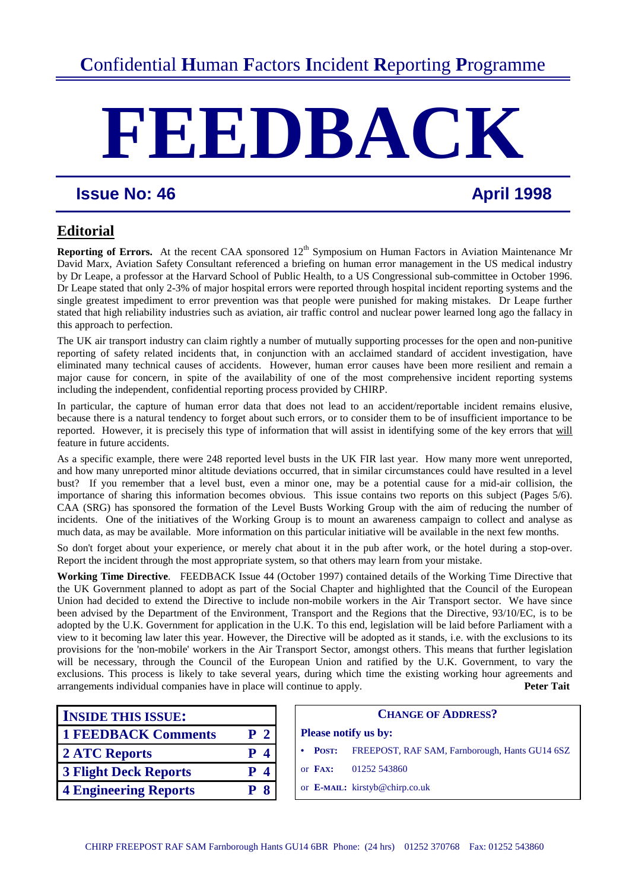# **FEEDBAC**

# **Issue No: 46 April 1998**

# **Editorial**

**Reporting of Errors.** At the recent CAA sponsored 12<sup>th</sup> Symposium on Human Factors in Aviation Maintenance Mr David Marx, Aviation Safety Consultant referenced a briefing on human error management in the US medical industry by Dr Leape, a professor at the Harvard School of Public Health, to a US Congressional sub-committee in October 1996. Dr Leape stated that only 2-3% of major hospital errors were reported through hospital incident reporting systems and the single greatest impediment to error prevention was that people were punished for making mistakes. Dr Leape further stated that high reliability industries such as aviation, air traffic control and nuclear power learned long ago the fallacy in this approach to perfection.

The UK air transport industry can claim rightly a number of mutually supporting processes for the open and non-punitive reporting of safety related incidents that, in conjunction with an acclaimed standard of accident investigation, have eliminated many technical causes of accidents. However, human error causes have been more resilient and remain a major cause for concern, in spite of the availability of one of the most comprehensive incident reporting systems including the independent, confidential reporting process provided by CHIRP.

In particular, the capture of human error data that does not lead to an accident/reportable incident remains elusive, because there is a natural tendency to forget about such errors, or to consider them to be of insufficient importance to be reported. However, it is precisely this type of information that will assist in identifying some of the key errors that will feature in future accidents.

As a specific example, there were 248 reported level busts in the UK FIR last year. How many more went unreported, and how many unreported minor altitude deviations occurred, that in similar circumstances could have resulted in a level bust? If you remember that a level bust, even a minor one, may be a potential cause for a mid-air collision, the importance of sharing this information becomes obvious. This issue contains two reports on this subject (Pages 5/6). CAA (SRG) has sponsored the formation of the Level Busts Working Group with the aim of reducing the number of incidents. One of the initiatives of the Working Group is to mount an awareness campaign to collect and analyse as much data, as may be available. More information on this particular initiative will be available in the next few months.

So don't forget about your experience, or merely chat about it in the pub after work, or the hotel during a stop-over. Report the incident through the most appropriate system, so that others may learn from your mistake.

**Working Time Directive**. FEEDBACK Issue 44 (October 1997) contained details of the Working Time Directive that the UK Government planned to adopt as part of the Social Chapter and highlighted that the Council of the European Union had decided to extend the Directive to include non-mobile workers in the Air Transport sector. We have since been advised by the Department of the Environment, Transport and the Regions that the Directive, 93/10/EC, is to be adopted by the U.K. Government for application in the U.K. To this end, legislation will be laid before Parliament with a view to it becoming law later this year. However, the Directive will be adopted as it stands, i.e. with the exclusions to its provisions for the 'non-mobile' workers in the Air Transport Sector, amongst others. This means that further legislation will be necessary, through the Council of the European Union and ratified by the U.K. Government, to vary the exclusions. This process is likely to take several years, during which time the existing working hour agreements and arrangements individual companies have in place will continue to apply. **Peter Tait**

| <b>INSIDE THIS ISSUE:</b>    |                |  |                             | <b>CHANGE O</b>                |
|------------------------------|----------------|--|-----------------------------|--------------------------------|
| <b>1 FEEDBACK Comments</b>   | P <sub>2</sub> |  | <b>Please notify us by:</b> |                                |
| 2 ATC Reports                | $P_4$          |  | <b>POST:</b>                | FREEPOST, RAF SA               |
| <b>3 Flight Deck Reports</b> | $P_4$          |  | or $\mathbf{FAX:}$          | 01252 543860                   |
| <b>4 Engineering Reports</b> | <b>P</b> 8     |  |                             | or E-MAIL: kirstyb@chirp.co.uk |

| <b>INSIDE THIS ISSUE:</b>    |                              | <b>CHANGE OF ADDRESS?</b>                                         |
|------------------------------|------------------------------|-------------------------------------------------------------------|
| <b>1 FEEDBACK Comments</b>   | P <sub>2</sub>               | <b>Please notify us by:</b>                                       |
| 2 ATC Reports                | $\overline{\mathbf{4}}$<br>P | POST: FREEPOST, RAF SAM, Farnborough, Hants GU14 6SZ<br>$\bullet$ |
| <b>3 Flight Deck Reports</b> | $\overline{\mathbf{4}}$<br>P | or $\mathbf{F}$ AX:<br>01252 543860                               |
| <b>4 Engineering Reports</b> | 8<br>P                       | or E-MAIL: kirstyb@chirp.co.uk                                    |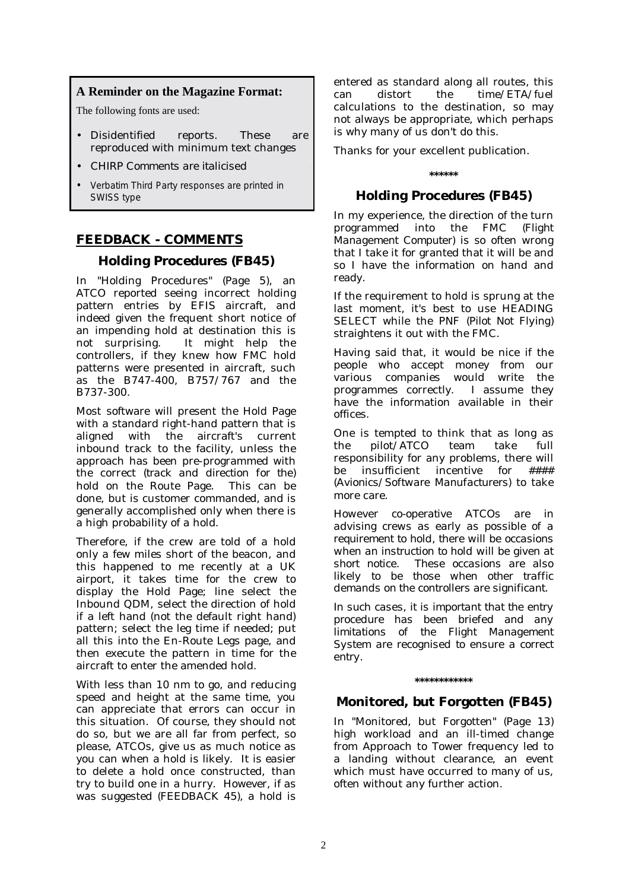# **A Reminder on the Magazine Format:**

The following fonts are used:

- Disidentified reports. These are reproduced with minimum text changes
- *CHIRP Comments are italicised*
- Verbatim Third Party responses are printed in SWISS type

# **FEEDBACK - COMMENTS**

# **Holding Procedures (FB45)**

In "Holding Procedures" *(Page 5*), an ATCO reported seeing incorrect holding pattern entries by EFIS aircraft, and indeed given the frequent short notice of an impending hold at destination this is not surprising. It might help the controllers, if they knew how FMC hold patterns were presented in aircraft, such as the B747-400, B757/767 and the B737-300.

Most software will present the Hold Page with a standard right-hand pattern that is aligned with the aircraft's current inbound track to the facility, unless the approach has been pre-programmed with the correct *(track and direction for the)* hold on the Route Page. This can be done, but is customer commanded, and is generally accomplished only when there is a high probability of a hold.

Therefore, if the crew are told of a hold only a few miles short of the beacon, and this happened to me recently at a UK airport, it takes time for the crew to display the Hold Page; line select the Inbound QDM, select the direction of hold if a left hand (not the default right hand) pattern; select the leg time if needed; put all this into the En-Route Legs page, and then execute the pattern in time for the aircraft to enter the amended hold.

With less than 10 nm to go, and reducing speed and height at the same time, you can appreciate that errors can occur in this situation. Of course, they should not do so, but we are all far from perfect, so please, ATCOs, give us as much notice as you can when a hold is likely. It is easier to delete a hold once constructed, than try to build one in a hurry. However, if as was suggested *(FEEDBACK 45),* a hold is

entered as standard along all routes, this can distort the time/ETA/fuel calculations to the destination, so may not always be appropriate, which perhaps is why many of us don't do this.

Thanks for your excellent publication.

# **\*\*\*\*\*\***

# **Holding Procedures (FB45)**

In my experience, the direction of the turn programmed into the FMC *(Flight Management Computer)* is so often wrong that I take it for granted that it will be and so I have the information on hand and ready.

If the requirement to hold is sprung at the last moment, it's best to use HEADING SELECT while the PNF *(Pilot Not Flying)* straightens it out with the FMC.

Having said that, it would be nice if the people who accept money from our various companies would write the programmes correctly. I assume they have the information available in their offices.

One is tempted to think that as long as the pilot/ATCO team take full responsibility for any problems, there will<br>be insufficient incentive for  $\# \# \#$ be insufficient incentive for #### *(Avionics/Software Manufacturers)* to take more care.

*However co-operative ATCOs are in advising crews as early as possible of a requirement to hold, there will be occasions when an instruction to hold will be given at short notice. These occasions are also likely to be those when other traffic demands on the controllers are significant.* 

*In such cases, it is important that the entry procedure has been briefed and any limitations of the Flight Management System are recognised to ensure a correct entry.* 

#### **\*\*\*\*\*\*\*\*\*\*\*\***

# **Monitored, but Forgotten (FB45)**

In "Monitored, but Forgotten" *(Page 13)* high workload and an ill-timed change from Approach to Tower frequency led to a landing without clearance, an event which must have occurred to many of us. often without any further action.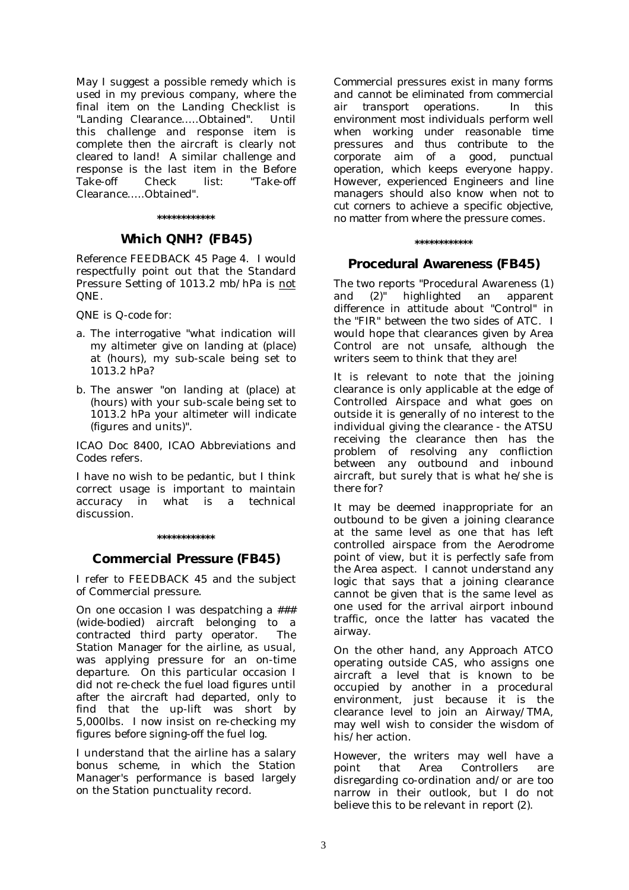May I suggest a possible remedy which is used in my previous company, where the final item on the Landing Checklist is "Landing Clearance…..Obtained". Until this challenge and response item is complete then the aircraft is clearly not cleared to land! A similar challenge and response is the last item in the Before Take-off Check list: "Take-off Clearance Obtained"

#### **\*\*\*\*\*\*\*\*\*\*\*\***

# **Which QNH? (FB45)**

Reference FEEDBACK 45 Page 4. I would respectfully point out that the Standard Pressure Setting of 1013.2 mb/hPa is not QNE.

QNE is Q-code for:

- a. The interrogative "what indication will my altimeter give on landing at (place) at (hours), my sub-scale being set to 1013.2 hPa?
- b. The answer "on landing at (place) at (hours) with your sub-scale being set to 1013.2 hPa your altimeter will indicate (figures and units)".

ICAO Doc 8400, ICAO Abbreviations and Codes refers.

I have no wish to be pedantic, but I think correct usage is important to maintain accuracy in what is a technical discussion.

#### **\*\*\*\*\*\*\*\*\*\*\*\***

#### **Commercial Pressure (FB45)**

I refer to FEEDBACK 45 and the subject of Commercial pressure.

On one occasion I was despatching a ### (wide-bodied) aircraft belonging to a contracted third party operator. The Station Manager for the airline, as usual, was applying pressure for an on-time departure. On this particular occasion I did not re-check the fuel load figures until after the aircraft had departed, only to find that the up-lift was short by 5,000lbs. I now insist on re-checking my figures before signing-off the fuel log.

I understand that the airline has a salary bonus scheme, in which the Station Manager's performance is based largely on the Station punctuality record.

*Commercial pressures exist in many forms and cannot be eliminated from commercial air transport operations. In this environment most individuals perform well when working under reasonable time pressures and thus contribute to the corporate aim of a good, punctual operation, which keeps everyone happy. However, experienced Engineers and line managers should also know when not to cut corners to achieve a specific objective, no matter from where the pressure comes.* 

#### **\*\*\*\*\*\*\*\*\*\*\*\***

#### **Procedural Awareness (FB45)**

The two reports "Procedural Awareness (1) and (2)" highlighted an apparent difference in attitude about "Control" in the "FIR" between the two sides of ATC. I would hope that clearances given by Area Control are not unsafe, although the writers seem to think that they are!

It is relevant to note that the joining clearance is only applicable at the edge of Controlled Airspace and what goes on outside it is generally of no interest to the individual giving the clearance - the ATSU receiving the clearance then has the problem of resolving any confliction between any outbound and inbound aircraft, but surely that is what he/she is there for?

It may be deemed inappropriate for an outbound to be given a joining clearance at the same level as one that has left controlled airspace from the Aerodrome point of view, but it is perfectly safe from the Area aspect. I cannot understand any logic that says that a joining clearance cannot be given that is the same level as one used for the arrival airport inbound traffic, once the latter has vacated the airway.

On the other hand, any Approach ATCO operating outside CAS, who assigns one aircraft a level that is known to be occupied by another in a procedural environment, just because it is the clearance level to join an Airway/TMA, may well wish to consider the wisdom of his/her action.

However, the writers may well have a point that Area Controllers are disregarding co-ordination and/or are too narrow in their outlook, but I do not believe this to be relevant in report (2).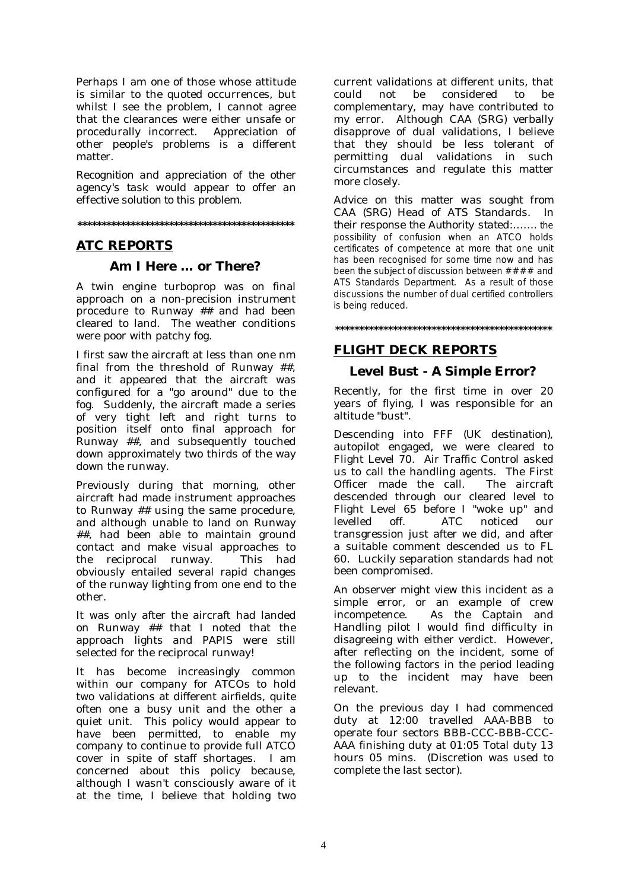Perhaps I am one of those whose attitude is similar to the quoted occurrences, but whilst I see the problem, I cannot agree that the clearances were either unsafe or<br>procedurally incorrect. Appreciation of procedurally incorrect. other people's problems is a different matter.

*Recognition and appreciation of the other agency's task would appear to offer an effective solution to this problem.* 

**\*\*\*\*\*\*\*\*\*\*\*\*\*\*\*\*\*\*\*\*\*\*\*\*\*\*\*\*\*\*\*\*\*\*\*\*\*\*\*\*\*\*\*\*\*** 

# **ATC REPORTS**

# **Am I Here … or There?**

A twin engine turboprop was on final approach on a non-precision instrument procedure to Runway ## and had been cleared to land. The weather conditions were poor with patchy fog.

I first saw the aircraft at less than one nm final from the threshold of Runway ##, and it appeared that the aircraft was configured for a "go around" due to the fog. Suddenly, the aircraft made a series of very tight left and right turns to position itself onto final approach for Runway ##, and subsequently touched down approximately two thirds of the way down the runway.

Previously during that morning, other aircraft had made instrument approaches to Runway ## using the same procedure, and although unable to land on Runway ##, had been able to maintain ground contact and make visual approaches to the reciprocal runway. This had obviously entailed several rapid changes of the runway lighting from one end to the other.

It was only after the aircraft had landed on Runway ## that I noted that the approach lights and PAPIS were still selected for the reciprocal runway!

It has become increasingly common within our company for ATCOs to hold two validations at different airfields, quite often one a busy unit and the other a quiet unit. This policy would appear to have been permitted, to enable my company to continue to provide full ATCO cover in spite of staff shortages. I am concerned about this policy because, although I wasn't consciously aware of it at the time, I believe that holding two

current validations at different units, that could not be considered to be complementary, may have contributed to my error. Although CAA (SRG) verbally disapprove of dual validations, I believe that they should be less tolerant of permitting dual validations in such circumstances and regulate this matter more closely.

*Advice on this matter was sought from CAA (SRG) Head of ATS Standards. In their response the Authority stated:…….* the possibility of confusion when an ATCO holds certificates of competence at more that one unit has been recognised for some time now and has been the subject of discussion between  $\# \# \#$  and ATS Standards Department. As a result of those discussions the number of dual certified controllers is being reduced.

**\*\*\*\*\*\*\*\*\*\*\*\*\*\*\*\*\*\*\*\*\*\*\*\*\*\*\*\*\*\*\*\*\*\*\*\*\*\*\*\*\*\*\*\*\*** 

# **FLIGHT DECK REPORTS**

# **Level Bust - A Simple Error?**

Recently, for the first time in over 20 years of flying, I was responsible for an altitude "bust".

Descending into FFF *(UK destination)*, autopilot engaged, we were cleared to Flight Level 70. Air Traffic Control asked us to call the handling agents. The First Officer made the call. The aircraft descended through our cleared level to Flight Level 65 before I "woke up" and levelled off. ATC noticed our transgression just after we did, and after a suitable comment descended us to FL 60. Luckily separation standards had not been compromised.

An observer might view this incident as a simple error, or an example of crew incompetence. As the Captain and Handling pilot I would find difficulty in disagreeing with either verdict. However, after reflecting on the incident, some of the following factors in the period leading up to the incident may have been relevant.

On the previous day I had commenced duty at 12:00 travelled AAA-BBB to operate four sectors BBB-CCC-BBB-CCC-AAA finishing duty at 01:05 Total duty 13 hours 05 mins. (Discretion was used to complete the last sector).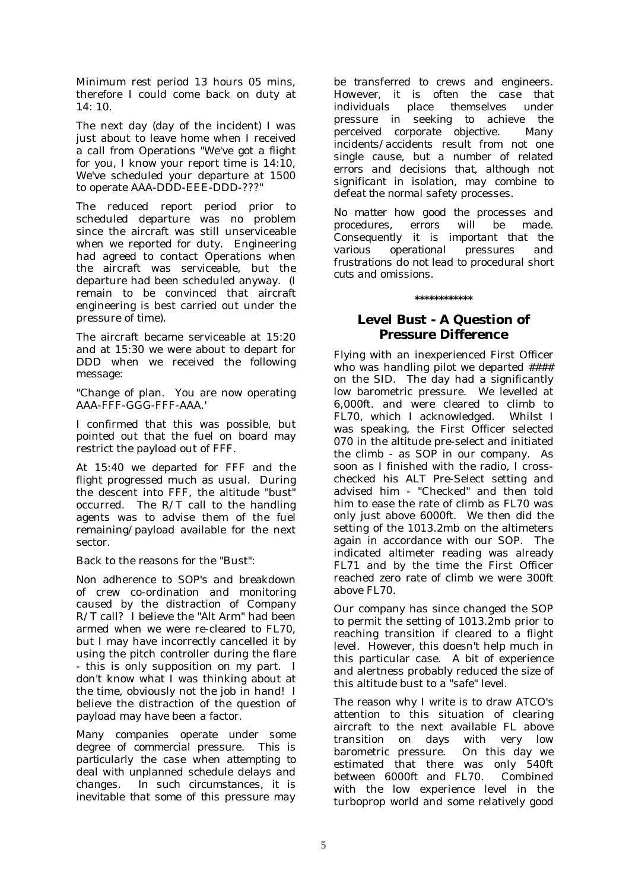Minimum rest period 13 hours 05 mins, therefore I could come back on duty at 14: 10.

The next day (day of the incident) I was just about to leave home when I received a call from Operations "We've got a flight for you, I know your report time is 14:10, We've scheduled your departure at 1500 to operate AAA-DDD-EEE-DDD-???"

The reduced report period prior to scheduled departure was no problem since the aircraft was still unserviceable when we reported for duty. Engineering had agreed to contact Operations when the aircraft was serviceable, but the departure had been scheduled anyway. (I remain to be convinced that aircraft engineering is best carried out under the pressure of time).

The aircraft became serviceable at 15:20 and at 15:30 we were about to depart for DDD when we received the following message:

"Change of plan. You are now operating AAA-FFF-GGG-FFF-AAA.'

I confirmed that this was possible, but pointed out that the fuel on board may restrict the payload out of FFF.

At 15:40 we departed for FFF and the flight progressed much as usual. During the descent into FFF, the altitude "bust" occurred. The R/T call to the handling agents was to advise them of the fuel remaining/payload available for the next sector.

Back to the reasons for the "Bust":

Non adherence to SOP's and breakdown of crew co-ordination and monitoring caused by the distraction of Company R/T call? I believe the "Alt Arm" had been armed when we were re-cleared to FL70, but I may have incorrectly cancelled it by using the pitch controller during the flare - this is only supposition on my part. I don't know what I was thinking about at the time, obviously not the job in hand! I believe the distraction of the question of payload may have been a factor.

*Many companies operate under some degree of commercial pressure. This is particularly the case when attempting to deal with unplanned schedule delays and changes. In such circumstances, it is inevitable that some of this pressure may*  *be transferred to crews and engineers. However, it is often the case that individuals place themselves under pressure in seeking to achieve the perceived corporate objective. Many incidents/accidents result from not one single cause, but a number of related errors and decisions that, although not significant in isolation, may combine to defeat the normal safety processes.* 

*No matter how good the processes and procedures, errors will be made. Consequently it is important that the various operational pressures and frustrations do not lead to procedural short cuts and omissions.* 

#### **\*\*\*\*\*\*\*\*\*\*\*\***

# **Level Bust - A Question of Pressure Difference**

Flying with an inexperienced First Officer who was handling pilot we departed  $\#$ ### on the SID. The day had a significantly low barometric pressure. We levelled at 6,000ft. and were cleared to climb to FL70, which I acknowledged. was speaking, the First Officer selected 070 in the altitude pre-select and initiated the climb - as SOP in our company. As soon as I finished with the radio, I crosschecked his ALT Pre-Select setting and advised him - "Checked" and then told him to ease the rate of climb as FL70 was only just above 6000ft. We then did the setting of the 1013.2mb on the altimeters again in accordance with our SOP. The indicated altimeter reading was already FL71 and by the time the First Officer reached zero rate of climb we were 300ft above FL70.

Our company has since changed the SOP to permit the setting of 1013.2mb prior to reaching transition if cleared to a flight level. However, this doesn't help much in this particular case. A bit of experience and alertness probably reduced the size of this altitude bust to a "safe" level.

The reason why I write is to draw ATCO's attention to this situation of clearing aircraft to the next available FL above transition on days with very low barometric pressure. On this day we estimated that there was only 540ft between 6000ft and FL70. Combined with the low experience level in the turboprop world and some relatively good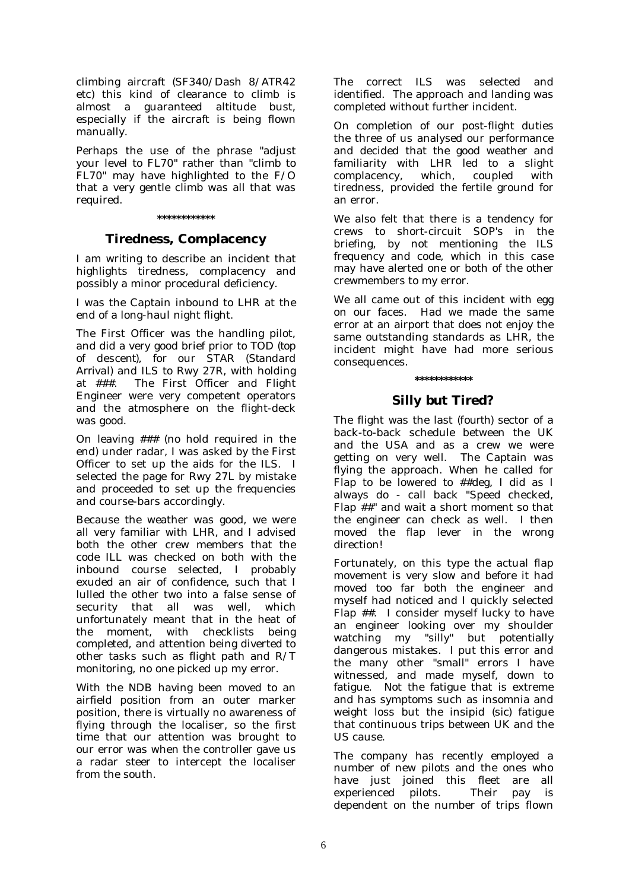climbing aircraft (SF340/Dash 8/ATR42 etc) this kind of clearance to climb is almost a guaranteed altitude bust, especially if the aircraft is being flown manually.

Perhaps the use of the phrase "adjust your level to FL70" rather than "climb to FL70" may have highlighted to the F/O that a very gentle climb was all that was required.

#### **\*\*\*\*\*\*\*\*\*\*\*\***

# **Tiredness, Complacency**

I am writing to describe an incident that highlights tiredness, complacency and possibly a minor procedural deficiency.

I was the Captain inbound to LHR at the end of a long-haul night flight.

The First Officer was the handling pilot, and did a very good brief prior to TOD *(top of descent)*, for our STAR (*Standard Arrival*) and ILS to Rwy 27R, with holding at ###. The First Officer and Flight Engineer were very competent operators and the atmosphere on the flight-deck was good.

On leaving ### (no hold required in the end) under radar, I was asked by the First Officer to set up the aids for the ILS. I selected the page for Rwy 27L by mistake and proceeded to set up the frequencies and course-bars accordingly.

Because the weather was good, we were all very familiar with LHR, and I advised both the other crew members that the code ILL was checked on both with the inbound course selected, I probably exuded an air of confidence, such that I lulled the other two into a false sense of security that all was well, which unfortunately meant that in the heat of the moment, with checklists being completed, and attention being diverted to other tasks such as flight path and R/T monitoring, no one picked up my error.

With the NDB having been moved to an airfield position from an outer marker position, there is virtually no awareness of flying through the localiser, so the first time that our attention was brought to our error was when the controller gave us a radar steer to intercept the localiser from the south.

The correct ILS was selected and identified. The approach and landing was completed without further incident.

On completion of our post-flight duties the three of us analysed our performance and decided that the good weather and familiarity with LHR led to a slight complacency, which, coupled with tiredness, provided the fertile ground for an error.

We also felt that there is a tendency for crews to short-circuit SOP's in the briefing, by not mentioning the ILS frequency and code, which in this case may have alerted one or both of the other crewmembers to my error.

We all came out of this incident with egg on our faces. Had we made the same error at an airport that does not enjoy the same outstanding standards as LHR, the incident might have had more serious consequences.

#### **\*\*\*\*\*\*\*\*\*\*\*\***

# **Silly but Tired?**

The flight was the last *(fourth)* sector of a back-to-back schedule between the UK and the USA and as a crew we were getting on very well. The Captain was flying the approach. When he called for Flap to be lowered to ##deg, I did as I always do - call back "Speed checked, Flap ##" and wait a short moment so that the engineer can check as well. I then moved the flap lever in the wrong direction!

Fortunately, on this type the actual flap movement is very slow and before it had moved too far both the engineer and myself had noticed and I quickly selected Flap ##. I consider myself lucky to have an engineer looking over my shoulder watching my "silly" but potentially dangerous mistakes. I put this error and the many other "small" errors I have witnessed, and made myself, down to fatigue. Not the fatigue that is extreme and has symptoms such as insomnia and weight loss but the insipid *(sic)* fatigue that continuous trips between UK and the US cause.

The company has recently employed a number of new pilots and the ones who have just joined this fleet are all experienced pilots. Their pay is dependent on the number of trips flown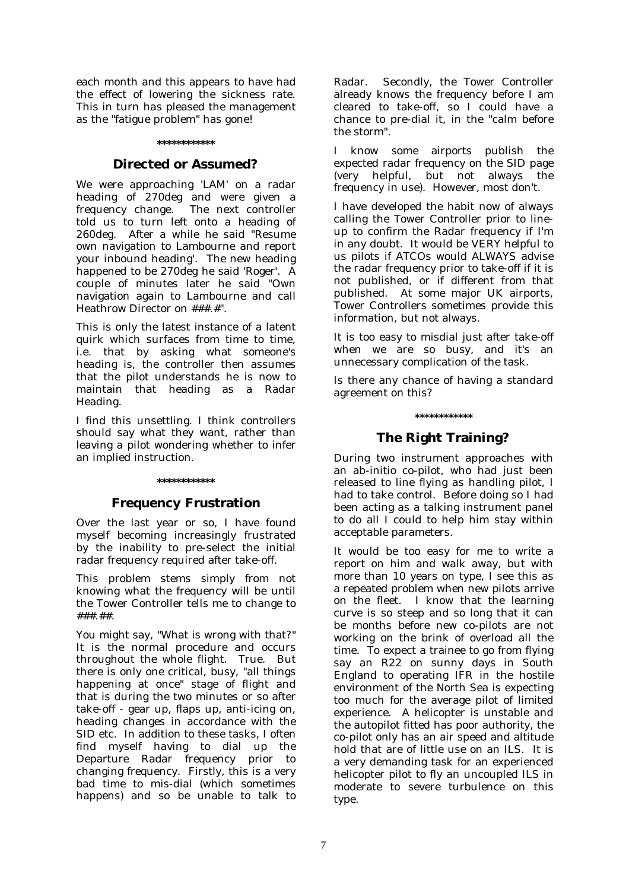each month and this appears to have had the effect of lowering the sickness rate. This in turn has pleased the management as the "fatigue problem" has gone!

#### **\*\*\*\*\*\*\*\*\*\*\*\***

#### **Directed or Assumed?**

We were approaching 'LAM' on a radar heading of 270deg and were given a frequency change. The next controller told us to turn left onto a heading of 260deg. After a while he said "Resume own navigation to Lambourne and report your inbound heading'. The new heading happened to be 270deg he said 'Roger'. A couple of minutes later he said "Own navigation again to Lambourne and call Heathrow Director on ###.#".

This is only the latest instance of a latent quirk which surfaces from time to time, i.e. that by asking what someone's heading is, the controller then assumes that the pilot understands he is now to maintain that heading as a Radar Heading.

I find this unsettling. I think controllers should say what they want, rather than leaving a pilot wondering whether to infer an implied instruction.

#### **\*\*\*\*\*\*\*\*\*\*\*\***

#### **Frequency Frustration**

Over the last year or so, I have found myself becoming increasingly frustrated by the inability to pre-select the initial radar frequency required after take-off.

This problem stems simply from not knowing what the frequency will be until the Tower Controller tells me to change to ###.##.

You might say, "What is wrong with that?" It is the normal procedure and occurs throughout the whole flight. True. But there is only one critical, busy, "all things happening at once" stage of flight and that is during the two minutes or so after take-off - gear up, flaps up, anti-icing on, heading changes in accordance with the SID etc. In addition to these tasks, I often find myself having to dial up the Departure Radar frequency prior to changing frequency. Firstly, this is a very bad time to mis-dial (which sometimes happens) and so be unable to talk to

Radar. Secondly, the Tower Controller already knows the frequency before I am cleared to take-off, so I could have a chance to pre-dial it, in the "calm before the storm".

I know some airports publish the expected radar frequency on the SID page (very helpful, but not always the frequency in use). However, most don't.

I have developed the habit now of always calling the Tower Controller prior to lineup to confirm the Radar frequency if I'm in any doubt. It would be VERY helpful to us pilots if ATCOs would ALWAYS advise the radar frequency prior to take-off if it is not published, or if different from that published. At some major UK airports, Tower Controllers sometimes provide this information, but not always.

It is too easy to misdial just after take-off when we are so busy, and it's an unnecessary complication of the task.

Is there any chance of having a standard agreement on this?

#### **\*\*\*\*\*\*\*\*\*\*\*\***

# **The Right Training?**

During two instrument approaches with an ab-initio co-pilot, who had just been released to line flying as handling pilot, I had to take control. Before doing so I had been acting as a talking instrument panel to do all I could to help him stay within acceptable parameters.

It would be too easy for me to write a report on him and walk away, but with more than 10 years on type, I see this as a repeated problem when new pilots arrive on the fleet. I know that the learning curve is so steep and so long that it can be months before new co-pilots are not working on the brink of overload all the time. To expect a trainee to go from flying say an R22 on sunny days in South England to operating IFR in the hostile environment of the North Sea is expecting too much for the average pilot of limited experience. A helicopter is unstable and the autopilot fitted has poor authority, the co-pilot only has an air speed and altitude hold that are of little use on an ILS. It is a very demanding task for an experienced helicopter pilot to fly an uncoupled ILS in moderate to severe turbulence on this type.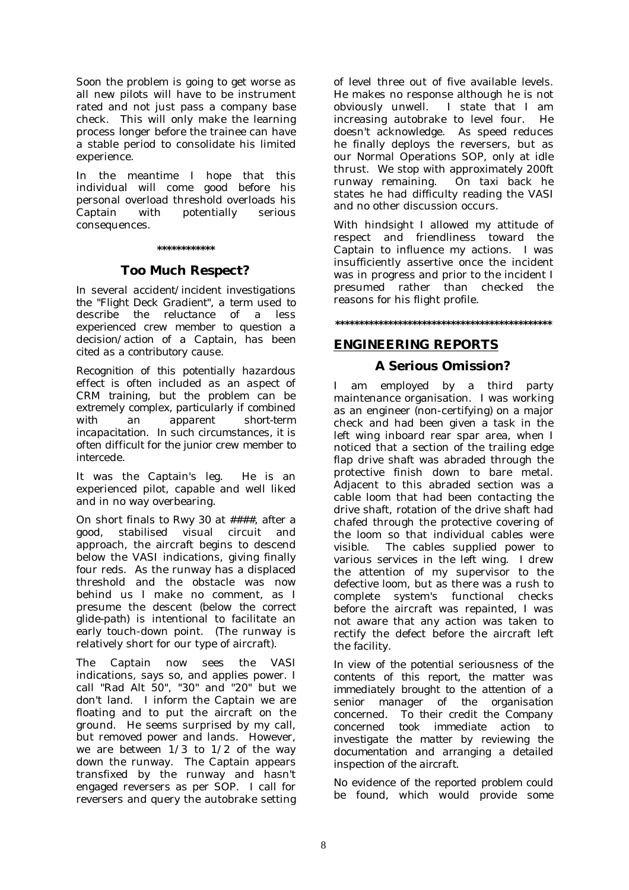Soon the problem is going to get worse as all new pilots will have to be instrument rated and not just pass a company base check. This will only make the learning process longer before the trainee can have a stable period to consolidate his limited experience.

In the meantime I hope that this individual will come good before his personal overload threshold overloads his Captain with potentially serious consequences.

#### **\*\*\*\*\*\*\*\*\*\*\*\***

#### **Too Much Respect?**

*In several accident/incident investigations the "Flight Deck Gradient", a term used to describe the reluctance of a less experienced crew member to question a decision/action of a Captain, has been cited as a contributory cause.* 

*Recognition of this potentially hazardous effect is often included as an aspect of CRM training, but the problem can be extremely complex, particularly if combined with an apparent short-term incapacitation. In such circumstances, it is often difficult for the junior crew member to intercede.* 

It was the Captain's leg. He is an experienced pilot, capable and well liked and in no way overbearing.

On short finals to Rwy 30 at ####, after a good, stabilised visual circuit and approach, the aircraft begins to descend below the VASI indications, giving finally four reds. As the runway has a displaced threshold and the obstacle was now behind us I make no comment, as I presume the descent *(below the correct glide-path)* is intentional to facilitate an early touch-down point. (The runway is relatively short for our type of aircraft).

The Captain now sees the VASI indications, says so, and applies power. I call "Rad Alt 50", "30" and "20" but we don't land. I inform the Captain we are floating and to put the aircraft on the ground. He seems surprised by my call, but removed power and lands. However, we are between  $1/3$  to  $1/2$  of the way down the runway. The Captain appears transfixed by the runway and hasn't engaged reversers as per SOP. I call for reversers and query the autobrake setting of level three out of five available levels. He makes no response although he is not obviously unwell. I state that I am increasing autobrake to level four. He doesn't acknowledge. As speed reduces he finally deploys the reversers, but as our Normal Operations SOP, only at idle thrust. We stop with approximately 200ft runway remaining. states he had difficulty reading the VASI and no other discussion occurs.

With hindsight I allowed my attitude of respect and friendliness toward the Captain to influence my actions. I was insufficiently assertive once the incident was in progress and prior to the incident I presumed rather than checked the reasons for his flight profile.

**\*\*\*\*\*\*\*\*\*\*\*\*\*\*\*\*\*\*\*\*\*\*\*\*\*\*\*\*\*\*\*\*\*\*\*\*\*\*\*\*\*\*\*\*\*** 

#### **ENGINEERING REPORTS**

#### **A Serious Omission?**

I am employed by a third party maintenance organisation. I was working as an engineer (non-certifying) on a major check and had been given a task in the left wing inboard rear spar area, when I noticed that a section of the trailing edge flap drive shaft was abraded through the protective finish down to bare metal. Adjacent to this abraded section was a cable loom that had been contacting the drive shaft, rotation of the drive shaft had chafed through the protective covering of the loom so that individual cables were visible. The cables supplied power to various services in the left wing. I drew the attention of my supervisor to the defective loom, but as there was a rush to complete system's functional checks before the aircraft was repainted, I was not aware that any action was taken to rectify the defect before the aircraft left the facility.

*In view of the potential seriousness of the contents of this report, the matter was immediately brought to the attention of a senior manager of the organisation concerned. To their credit the Company concerned took immediate action to investigate the matter by reviewing the documentation and arranging a detailed inspection of the aircraft.* 

*No evidence of the reported problem could be found, which would provide some*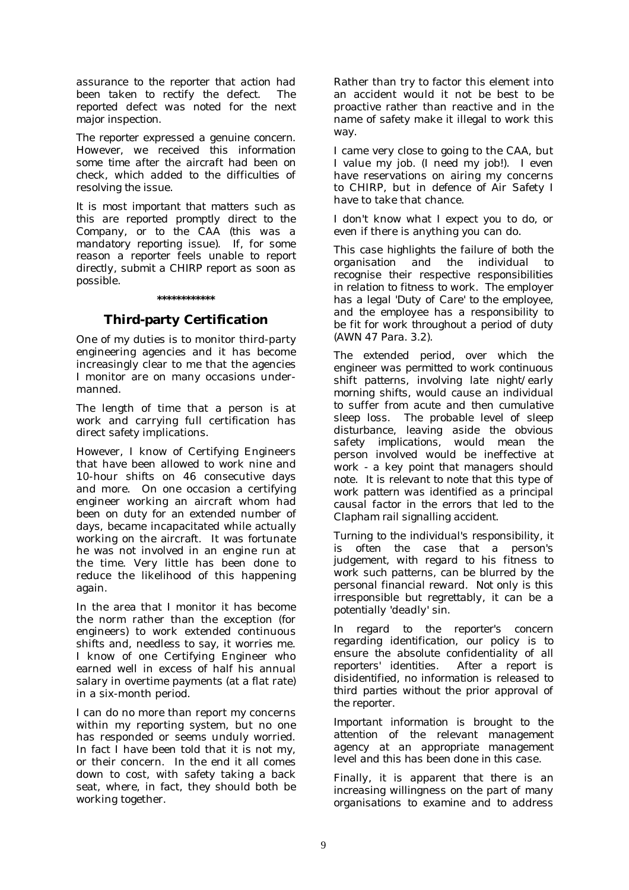*assurance to the reporter that action had been taken to rectify the defect. The reported defect was noted for the next major inspection.* 

*The reporter expressed a genuine concern. However, we received this information some time after the aircraft had been on check, which added to the difficulties of resolving the issue.* 

*It is most important that matters such as this are reported promptly direct to the Company, or to the CAA (this was a mandatory reporting issue). If, for some reason a reporter feels unable to report directly, submit a CHIRP report as soon as possible.* 

#### **\*\*\*\*\*\*\*\*\*\*\*\***

# **Third-party Certification**

One of my duties is to monitor third-party engineering agencies and it has become increasingly clear to me that the agencies I monitor are on many occasions undermanned.

The length of time that a person is at work and carrying full certification has direct safety implications.

However, I know of Certifying Engineers that have been allowed to work nine and 10-hour shifts on 46 consecutive days and more. On one occasion a certifying engineer working an aircraft whom had been on duty for an extended number of days, became incapacitated while actually working on the aircraft. It was fortunate he was not involved in an engine run at the time. Very little has been done to reduce the likelihood of this happening again.

In the area that I monitor it has become the norm rather than the exception (for engineers) to work extended continuous shifts and, needless to say, it worries me. I know of one Certifying Engineer who earned well in excess of half his annual salary in overtime payments (at a flat rate) in a six-month period.

I can do no more than report my concerns within my reporting system, but no one has responded or seems unduly worried. In fact  $\overline{I}$  have been told that it is not my. or their concern. In the end it all comes down to cost, with safety taking a back seat, where, in fact, they should both be working together.

Rather than try to factor this element into an accident would it not be best to be proactive rather than reactive and in the name of safety make it illegal to work this way.

I came very close to going to the CAA, but I value my job. (I need my job!). I even have reservations on airing my concerns to CHIRP, but in defence of Air Safety I have to take that chance.

I don't know what I expect you to do, or even if there is anything you can do.

*This case highlights the failure of both the organisation and the individual to recognise their respective responsibilities in relation to fitness to work. The employer has a legal 'Duty of Care' to the employee, and the employee has a responsibility to be fit for work throughout a period of duty (AWN 47 Para. 3.2).* 

*The extended period, over which the engineer was permitted to work continuous shift patterns, involving late night/early morning shifts, would cause an individual to suffer from acute and then cumulative sleep loss. The probable level of sleep disturbance, leaving aside the obvious safety implications, would mean the person involved would be ineffective at work - a key point that managers should note. It is relevant to note that this type of work pattern was identified as a principal causal factor in the errors that led to the Clapham rail signalling accident.* 

*Turning to the individual's responsibility, it is often the case that a person's judgement, with regard to his fitness to work such patterns, can be blurred by the personal financial reward. Not only is this irresponsible but regrettably, it can be a potentially 'deadly' sin.* 

*In regard to the reporter's concern regarding identification, our policy is to ensure the absolute confidentiality of all*   $reporters'$  *identities. disidentified, no information is released to third parties without the prior approval of the reporter.* 

*Important information is brought to the attention of the relevant management agency at an appropriate management level and this has been done in this case.* 

*Finally, it is apparent that there is an increasing willingness on the part of many organisations to examine and to address*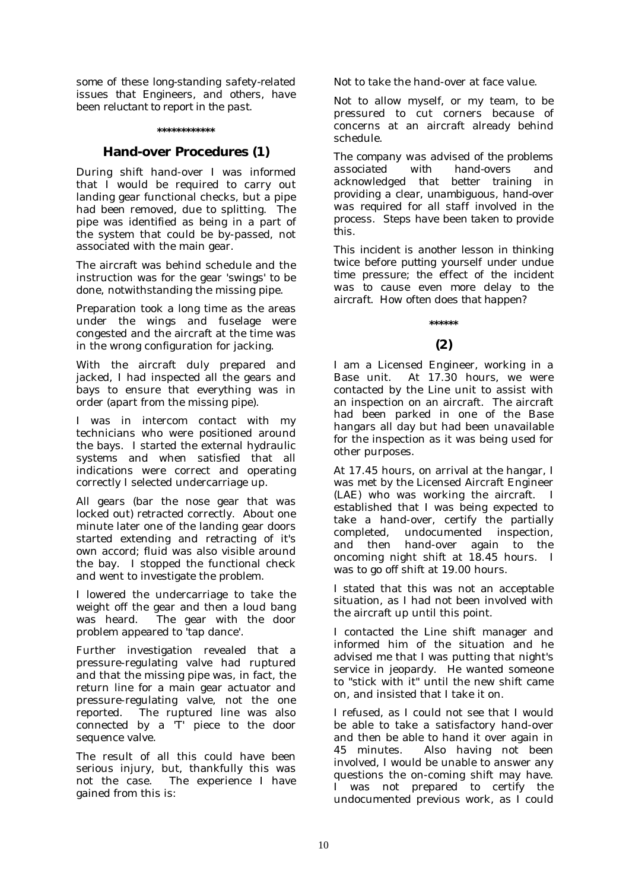*some of these long-standing safety-related issues that Engineers, and others, have been reluctant to report in the past.* 

#### **\*\*\*\*\*\*\*\*\*\*\*\***

# **Hand-over Procedures (1)**

During shift hand-over I was informed that I would be required to carry out landing gear functional checks, but a pipe had been removed, due to splitting. The pipe was identified as being in a part of the system that could be by-passed, not associated with the main gear.

The aircraft was behind schedule and the instruction was for the gear 'swings' to be done, notwithstanding the missing pipe.

Preparation took a long time as the areas under the wings and fuselage were congested and the aircraft at the time was in the wrong configuration for jacking.

With the aircraft duly prepared and jacked, I had inspected all the gears and bays to ensure that everything was in order (apart from the missing pipe).

I was in intercom contact with my technicians who were positioned around the bays. I started the external hydraulic systems and when satisfied that all indications were correct and operating correctly I selected undercarriage up.

All gears (bar the nose gear that was locked out) retracted correctly. About one minute later one of the landing gear doors started extending and retracting of it's own accord; fluid was also visible around the bay. I stopped the functional check and went to investigate the problem.

I lowered the undercarriage to take the weight off the gear and then a loud bang was heard. The gear with the door problem appeared to 'tap dance'.

Further investigation revealed that a pressure-regulating valve had ruptured and that the missing pipe was, in fact, the return line for a main gear actuator and pressure-regulating valve, not the one reported. The ruptured line was also connected by a 'T' piece to the door sequence valve.

The result of all this could have been serious injury, but, thankfully this was not the case. The experience I have gained from this is:

Not to take the hand-over at face value.

Not to allow myself, or my team, to be pressured to cut corners because of concerns at an aircraft already behind schedule.

*The company was advised of the problems associated with hand-overs and acknowledged that better training in providing a clear, unambiguous, hand-over was required for all staff involved in the process. Steps have been taken to provide this.* 

*This incident is another lesson in thinking twice before putting yourself under undue time pressure; the effect of the incident was to cause even more delay to the aircraft. How often does that happen?* 

# **\*\*\*\*\*\***

# **(2)**

I am a Licensed Engineer, working in a Base unit. At 17.30 hours, we were contacted by the Line unit to assist with an inspection on an aircraft. The aircraft had been parked in one of the Base hangars all day but had been unavailable for the inspection as it was being used for other purposes.

At 17.45 hours, on arrival at the hangar, I was met by the Licensed Aircraft Engineer (LAE) who was working the aircraft. I established that I was being expected to take a hand-over, certify the partially completed, undocumented inspection, and then hand-over again to the oncoming night shift at 18.45 hours. I was to go off shift at 19.00 hours.

I stated that this was not an acceptable situation, as I had not been involved with the aircraft up until this point.

I contacted the Line shift manager and informed him of the situation and he advised me that I was putting that night's service in jeopardy. He wanted someone to "stick with it" until the new shift came on, and insisted that I take it on.

I refused, as I could not see that I would be able to take a satisfactory hand-over and then be able to hand it over again in 45 minutes. Also having not been involved, I would be unable to answer any questions the on-coming shift may have. I was not prepared to certify the undocumented previous work, as I could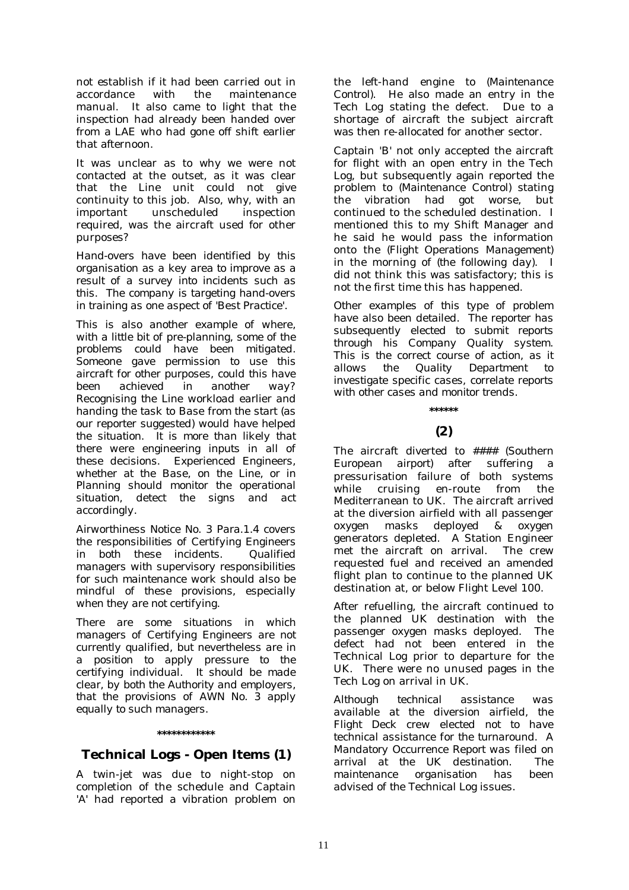not establish if it had been carried out in accordance with the maintenance manual. It also came to light that the inspection had already been handed over from a LAE who had gone off shift earlier that afternoon.

It was unclear as to why we were not contacted at the outset, as it was clear that the Line unit could not give continuity to this job. Also, why, with an important unscheduled inspection required, was the aircraft used for other purposes?

*Hand-overs have been identified by this organisation as a key area to improve as a result of a survey into incidents such as this. The company is targeting hand-overs in training as one aspect of 'Best Practice'.* 

*This is also another example of where, with a little bit of pre-planning, some of the problems could have been mitigated. Someone gave permission to use this aircraft for other purposes, could this have been achieved in another way? Recognising the Line workload earlier and handing the task to Base from the start (as our reporter suggested) would have helped the situation. It is more than likely that there were engineering inputs in all of these decisions. Experienced Engineers, whether at the Base, on the Line, or in Planning should monitor the operational situation, detect the signs and act accordingly.* 

*Airworthiness Notice No. 3 Para.1.4 covers the responsibilities of Certifying Engineers in both these incidents. Qualified managers with supervisory responsibilities for such maintenance work should also be mindful of these provisions, especially when they are not certifying.* 

*There are some situations in which managers of Certifying Engineers are not currently qualified, but nevertheless are in a position to apply pressure to the certifying individual. It should be made clear, by both the Authority and employers, that the provisions of AWN No. 3 apply equally to such managers.* 

#### **\*\*\*\*\*\*\*\*\*\*\*\***

# **Technical Logs - Open Items (1)**

A twin-jet was due to night-stop on completion of the schedule and Captain 'A' had reported a vibration problem on the left-hand engine to *(Maintenance Control)*. He also made an entry in the Tech Log stating the defect. Due to a shortage of aircraft the subject aircraft was then re-allocated for another sector.

Captain 'B' not only accepted the aircraft for flight with an open entry in the Tech Log, but subsequently again reported the problem to *(Maintenance Control)* stating the vibration had got worse, but continued to the scheduled destination. I mentioned this to my Shift Manager and he said he would pass the information onto the *(Flight Operations Management)* in the morning of *(the following day)*. I did not think this was satisfactory; this is not the first time this has happened.

*Other examples of this type of problem have also been detailed. The reporter has subsequently elected to submit reports through his Company Quality system. This is the correct course of action, as it allows the Quality Department to investigate specific cases, correlate reports with other cases and monitor trends.* 

# **(2)**

**\*\*\*\*\*\*** 

The aircraft diverted to #### *(Southern European airport)* after suffering a pressurisation failure of both systems while cruising en-route from the Mediterranean to UK. The aircraft arrived at the diversion airfield with all passenger oxygen masks deployed & oxygen generators depleted. A Station Engineer met the aircraft on arrival. The crew requested fuel and received an amended flight plan to continue to the planned UK destination at, or below Flight Level 100.

After refuelling, the aircraft continued to the planned UK destination with the passenger oxygen masks deployed. The defect had not been entered in the Technical Log prior to departure for the UK. There were no unused pages in the Tech Log on arrival in UK.

*Although technical assistance was available at the diversion airfield, the Flight Deck crew elected not to have technical assistance for the turnaround. A Mandatory Occurrence Report was filed on arrival at the UK destination. The maintenance organisation has been advised of the Technical Log issues.*